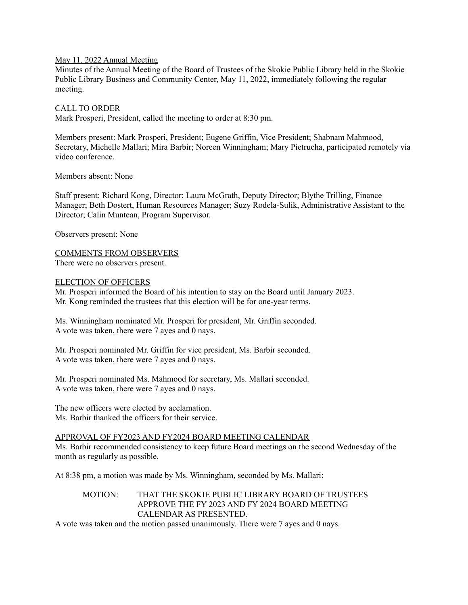### May 11, 2022 Annual Meeting

Minutes of the Annual Meeting of the Board of Trustees of the Skokie Public Library held in the Skokie Public Library Business and Community Center, May 11, 2022, immediately following the regular meeting.

### CALL TO ORDER

Mark Prosperi, President, called the meeting to order at 8:30 pm.

Members present: Mark Prosperi, President; Eugene Griffin, Vice President; Shabnam Mahmood, Secretary, Michelle Mallari; Mira Barbir; Noreen Winningham; Mary Pietrucha, participated remotely via video conference.

Members absent: None

Staff present: Richard Kong, Director; Laura McGrath, Deputy Director; Blythe Trilling, Finance Manager; Beth Dostert, Human Resources Manager; Suzy Rodela-Sulik, Administrative Assistant to the Director; Calin Muntean, Program Supervisor.

Observers present: None

COMMENTS FROM OBSERVERS

There were no observers present.

### ELECTION OF OFFICERS

Mr. Prosperi informed the Board of his intention to stay on the Board until January 2023. Mr. Kong reminded the trustees that this election will be for one-year terms.

Ms. Winningham nominated Mr. Prosperi for president, Mr. Griffin seconded. A vote was taken, there were 7 ayes and 0 nays.

Mr. Prosperi nominated Mr. Griffin for vice president, Ms. Barbir seconded. A vote was taken, there were 7 ayes and 0 nays.

Mr. Prosperi nominated Ms. Mahmood for secretary, Ms. Mallari seconded. A vote was taken, there were 7 ayes and 0 nays.

The new officers were elected by acclamation. Ms. Barbir thanked the officers for their service.

## APPROVAL OF FY2023 AND FY2024 BOARD MEETING CALENDAR

Ms. Barbir recommended consistency to keep future Board meetings on the second Wednesday of the month as regularly as possible.

At 8:38 pm, a motion was made by Ms. Winningham, seconded by Ms. Mallari:

## MOTION: THAT THE SKOKIE PUBLIC LIBRARY BOARD OF TRUSTEES APPROVE THE FY 2023 AND FY 2024 BOARD MEETING CALENDAR AS PRESENTED.

A vote was taken and the motion passed unanimously. There were 7 ayes and 0 nays.